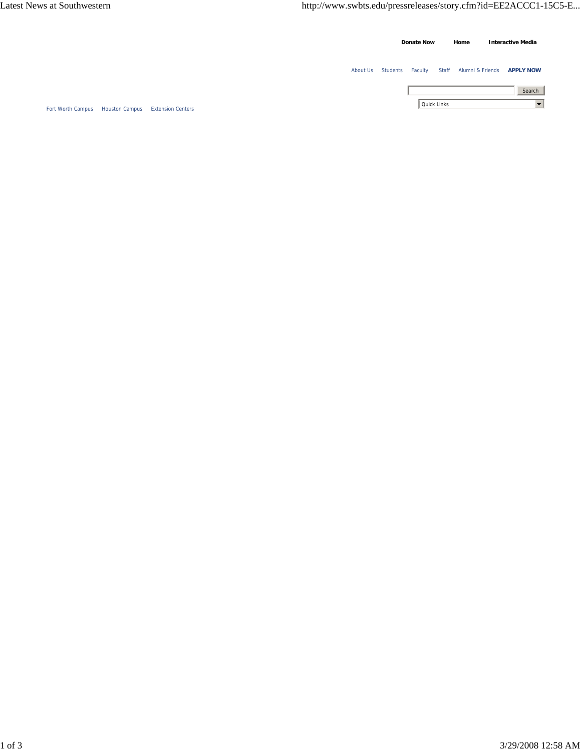|                   |                       |                          |  |  |          | <b>Donate Now</b> |  |             | Home                   | <b>Interactive Media</b> |                      |
|-------------------|-----------------------|--------------------------|--|--|----------|-------------------|--|-------------|------------------------|--------------------------|----------------------|
|                   |                       |                          |  |  | About Us | Students Faculty  |  |             | Staff Alumni & Friends |                          | <b>APPLY NOW</b>     |
|                   |                       |                          |  |  |          |                   |  |             |                        |                          | Search               |
| Fort Worth Campus | <b>Houston Campus</b> | <b>Extension Centers</b> |  |  |          |                   |  | Quick Links |                        |                          | $\blacktriangledown$ |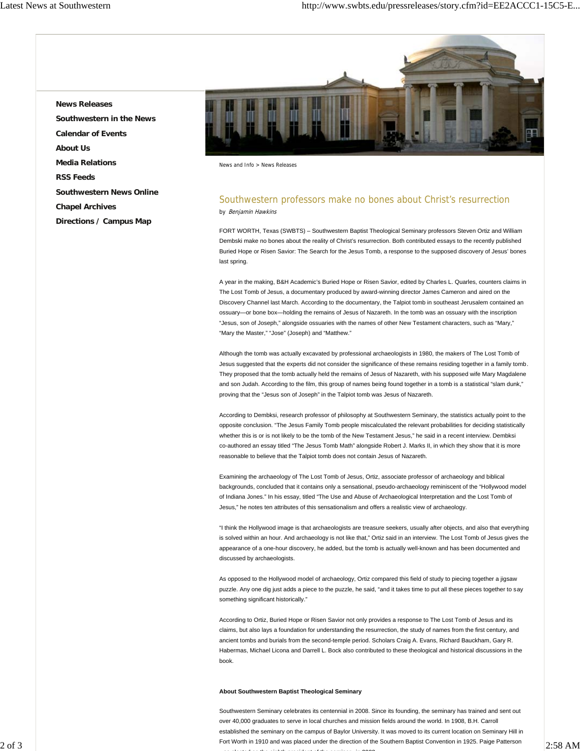**News Releases Southwestern in the News Calendar of Events About Us Media Relations RSS Feeds Southwestern News Online Chapel Archives Directions / Campus Map**



News and Info > News Releases

## Southwestern professors make no bones about Christ's resurrection by Benjamin Hawkins

FORT WORTH, Texas (SWBTS) – Southwestern Baptist Theological Seminary professors Steven Ortiz and William Dembski make no bones about the reality of Christ's resurrection. Both contributed essays to the recently published Buried Hope or Risen Savior: The Search for the Jesus Tomb, a response to the supposed discovery of Jesus' bones last spring.

A year in the making, B&H Academic's Buried Hope or Risen Savior, edited by Charles L. Quarles, counters claims in The Lost Tomb of Jesus, a documentary produced by award-winning director James Cameron and aired on the Discovery Channel last March. According to the documentary, the Talpiot tomb in southeast Jerusalem contained an ossuary—or bone box—holding the remains of Jesus of Nazareth. In the tomb was an ossuary with the inscription "Jesus, son of Joseph," alongside ossuaries with the names of other New Testament characters, such as "Mary," "Mary the Master," "Jose" (Joseph) and "Matthew."

Although the tomb was actually excavated by professional archaeologists in 1980, the makers of The Lost Tomb of Jesus suggested that the experts did not consider the significance of these remains residing together in a family tomb. They proposed that the tomb actually held the remains of Jesus of Nazareth, with his supposed wife Mary Magdalene and son Judah. According to the film, this group of names being found together in a tomb is a statistical "slam dunk," proving that the "Jesus son of Joseph" in the Talpiot tomb was Jesus of Nazareth.

According to Dembksi, research professor of philosophy at Southwestern Seminary, the statistics actually point to the opposite conclusion. "The Jesus Family Tomb people miscalculated the relevant probabilities for deciding statistically whether this is or is not likely to be the tomb of the New Testament Jesus," he said in a recent interview. Dembksi co-authored an essay titled "The Jesus Tomb Math" alongside Robert J. Marks II, in which they show that it is more reasonable to believe that the Talpiot tomb does not contain Jesus of Nazareth.

Examining the archaeology of The Lost Tomb of Jesus, Ortiz, associate professor of archaeology and biblical backgrounds, concluded that it contains only a sensational, pseudo-archaeology reminiscent of the "Hollywood model of Indiana Jones." In his essay, titled "The Use and Abuse of Archaeological Interpretation and the Lost Tomb of Jesus," he notes ten attributes of this sensationalism and offers a realistic view of archaeology.

"I think the Hollywood image is that archaeologists are treasure seekers, usually after objects, and also that everything is solved within an hour. And archaeology is not like that," Ortiz said in an interview. The Lost Tomb of Jesus gives the appearance of a one-hour discovery, he added, but the tomb is actually well-known and has been documented and discussed by archaeologists.

As opposed to the Hollywood model of archaeology, Ortiz compared this field of study to piecing together a jigsaw puzzle. Any one dig just adds a piece to the puzzle, he said, "and it takes time to put all these pieces together to say something significant historically."

According to Ortiz, Buried Hope or Risen Savior not only provides a response to The Lost Tomb of Jesus and its claims, but also lays a foundation for understanding the resurrection, the study of names from the first century, and ancient tombs and burials from the second-temple period. Scholars Craig A. Evans, Richard Bauckham, Gary R. Habermas, Michael Licona and Darrell L. Bock also contributed to these theological and historical discussions in the book.

## **About Southwestern Baptist Theological Seminary**

Eort Worth in 1910 and was placed under the direction of the Southern Baptist Convention in 1925. Paige Patterson 2:58 AM Southwestern Seminary celebrates its centennial in 2008. Since its founding, the seminary has trained and sent out over 40,000 graduates to serve in local churches and mission fields around the world. In 1908, B.H. Carroll established the seminary on the campus of Baylor University. It was moved to its current location on Seminary Hill in as elected as the eighth president of the seminar in 2003